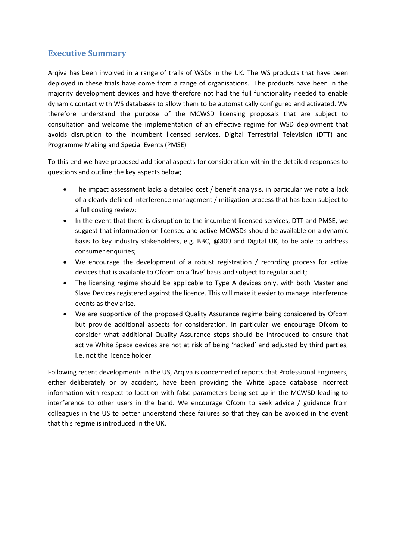# **Executive Summary**

Arqiva has been involved in a range of trails of WSDs in the UK. The WS products that have been deployed in these trials have come from a range of organisations. The products have been in the majority development devices and have therefore not had the full functionality needed to enable dynamic contact with WS databases to allow them to be automatically configured and activated. We therefore understand the purpose of the MCWSD licensing proposals that are subject to consultation and welcome the implementation of an effective regime for WSD deployment that avoids disruption to the incumbent licensed services, Digital Terrestrial Television (DTT) and Programme Making and Special Events (PMSE)

To this end we have proposed additional aspects for consideration within the detailed responses to questions and outline the key aspects below;

- The impact assessment lacks a detailed cost / benefit analysis, in particular we note a lack of a clearly defined interference management / mitigation process that has been subject to a full costing review;
- In the event that there is disruption to the incumbent licensed services, DTT and PMSE, we suggest that information on licensed and active MCWSDs should be available on a dynamic basis to key industry stakeholders, e.g. BBC, @800 and Digital UK, to be able to address consumer enquiries;
- We encourage the development of a robust registration / recording process for active devices that is available to Ofcom on a 'live' basis and subject to regular audit;
- The licensing regime should be applicable to Type A devices only, with both Master and Slave Devices registered against the licence. This will make it easier to manage interference events as they arise.
- We are supportive of the proposed Quality Assurance regime being considered by Ofcom but provide additional aspects for consideration. In particular we encourage Ofcom to consider what additional Quality Assurance steps should be introduced to ensure that active White Space devices are not at risk of being 'hacked' and adjusted by third parties, i.e. not the licence holder.

Following recent developments in the US, Arqiva is concerned of reports that Professional Engineers, either deliberately or by accident, have been providing the White Space database incorrect information with respect to location with false parameters being set up in the MCWSD leading to interference to other users in the band. We encourage Ofcom to seek advice / guidance from colleagues in the US to better understand these failures so that they can be avoided in the event that this regime is introduced in the UK.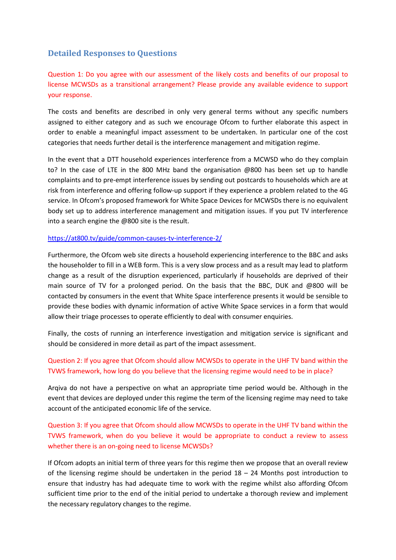# **Detailed Responses to Questions**

Question 1: Do you agree with our assessment of the likely costs and benefits of our proposal to license MCWSDs as a transitional arrangement? Please provide any available evidence to support your response.

The costs and benefits are described in only very general terms without any specific numbers assigned to either category and as such we encourage Ofcom to further elaborate this aspect in order to enable a meaningful impact assessment to be undertaken. In particular one of the cost categories that needs further detail is the interference management and mitigation regime.

In the event that a DTT household experiences interference from a MCWSD who do they complain to? In the case of LTE in the 800 MHz band the organisation @800 has been set up to handle complaints and to pre-empt interference issues by sending out postcards to households which are at risk from interference and offering follow-up support if they experience a problem related to the 4G service. In Ofcom's proposed framework for White Space Devices for MCWSDs there is no equivalent body set up to address interference management and mitigation issues. If you put TV interference into a search engine the @800 site is the result.

#### <https://at800.tv/guide/common-causes-tv-interference-2/>

Furthermore, the Ofcom web site directs a household experiencing interference to the BBC and asks the householder to fill in a WEB form. This is a very slow process and as a result may lead to platform change as a result of the disruption experienced, particularly if households are deprived of their main source of TV for a prolonged period. On the basis that the BBC, DUK and @800 will be contacted by consumers in the event that White Space interference presents it would be sensible to provide these bodies with dynamic information of active White Space services in a form that would allow their triage processes to operate efficiently to deal with consumer enquiries.

Finally, the costs of running an interference investigation and mitigation service is significant and should be considered in more detail as part of the impact assessment.

### Question 2: If you agree that Ofcom should allow MCWSDs to operate in the UHF TV band within the TVWS framework, how long do you believe that the licensing regime would need to be in place?

Arqiva do not have a perspective on what an appropriate time period would be. Although in the event that devices are deployed under this regime the term of the licensing regime may need to take account of the anticipated economic life of the service.

# Question 3: If you agree that Ofcom should allow MCWSDs to operate in the UHF TV band within the TVWS framework, when do you believe it would be appropriate to conduct a review to assess whether there is an on-going need to license MCWSDs?

If Ofcom adopts an initial term of three years for this regime then we propose that an overall review of the licensing regime should be undertaken in the period  $18 - 24$  Months post introduction to ensure that industry has had adequate time to work with the regime whilst also affording Ofcom sufficient time prior to the end of the initial period to undertake a thorough review and implement the necessary regulatory changes to the regime.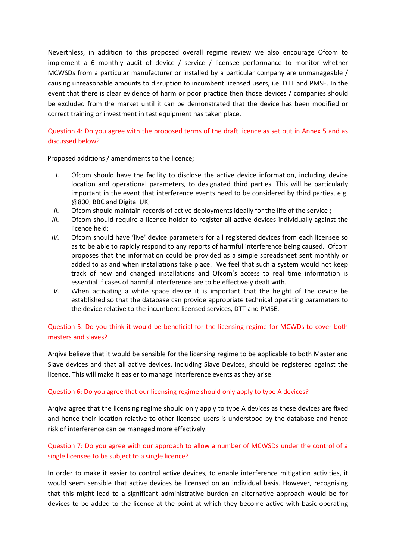Neverthless, in addition to this proposed overall regime review we also encourage Ofcom to implement a 6 monthly audit of device / service / licensee performance to monitor whether MCWSDs from a particular manufacturer or installed by a particular company are unmanageable / causing unreasonable amounts to disruption to incumbent licensed users, i.e. DTT and PMSE. In the event that there is clear evidence of harm or poor practice then those devices / companies should be excluded from the market until it can be demonstrated that the device has been modified or correct training or investment in test equipment has taken place.

### Question 4: Do you agree with the proposed terms of the draft licence as set out in Annex 5 and as discussed below?

Proposed additions / amendments to the licence;

- *I.* Ofcom should have the facility to disclose the active device information, including device location and operational parameters, to designated third parties. This will be particularly important in the event that interference events need to be considered by third parties, e.g. @800, BBC and Digital UK;
- *II.* Ofcom should maintain records of active deployments ideally for the life of the service :
- *III.* Ofcom should require a licence holder to register all active devices individually against the licence held;
- *IV.* Ofcom should have 'live' device parameters for all registered devices from each licensee so as to be able to rapidly respond to any reports of harmful interference being caused. Ofcom proposes that the information could be provided as a simple spreadsheet sent monthly or added to as and when installations take place. We feel that such a system would not keep track of new and changed installations and Ofcom's access to real time information is essential if cases of harmful interference are to be effectively dealt with.
- *V.* When activating a white space device it is important that the height of the device be established so that the database can provide appropriate technical operating parameters to the device relative to the incumbent licensed services, DTT and PMSE.

# Question 5: Do you think it would be beneficial for the licensing regime for MCWDs to cover both masters and slaves?

Arqiva believe that it would be sensible for the licensing regime to be applicable to both Master and Slave devices and that all active devices, including Slave Devices, should be registered against the licence. This will make it easier to manage interference events as they arise.

#### Question 6: Do you agree that our licensing regime should only apply to type A devices?

Arqiva agree that the licensing regime should only apply to type A devices as these devices are fixed and hence their location relative to other licensed users is understood by the database and hence risk of interference can be managed more effectively.

### Question 7: Do you agree with our approach to allow a number of MCWSDs under the control of a single licensee to be subject to a single licence?

In order to make it easier to control active devices, to enable interference mitigation activities, it would seem sensible that active devices be licensed on an individual basis. However, recognising that this might lead to a significant administrative burden an alternative approach would be for devices to be added to the licence at the point at which they become active with basic operating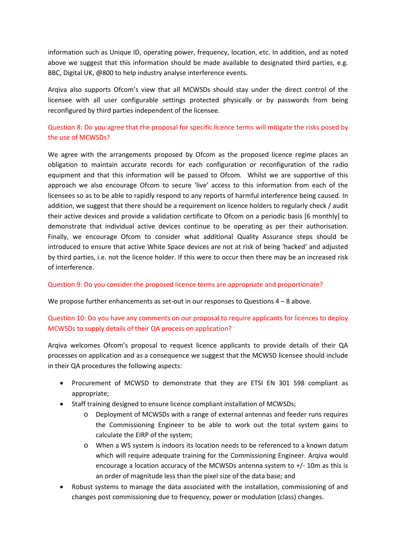information such as Unique ID, operating power, frequency, location, etc. In addition, and as noted above we suggest that this information should be made available to designated third parties, e.g. BBC, Digital UK, @800 to help industry analyse interference events.

Arqiva also supports Ofcom's view that all MCWSDs should stay under the direct control of the licensee with all user configurable settings protected physically or by passwords from being reconfigured by third parties independent of the licensee.

Question 8: Do you agree that the proposal for specific licence terms will mitigate the risks posed by the use of MCWSDs?

We agree with the arrangements proposed by Ofcom as the proposed licence regime places an obligation to maintain accurate records for each configuration or reconfiguration of the radio equipment and that this information will be passed to Ofcom. Whilst we are supportive of this approach we also encourage Ofcom to secure 'live' access to this information from each of the licensees so as to be able to rapidly respond to any reports of harmful interference being caused. In addition, we suggest that there should be a requirement on licence holders to regularly check / audit their active devices and provide a validation certificate to Ofcom on a periodic basis [6 monthly] to demonstrate that individual active devices continue to be operating as per their authorisation. Finally, we encourage Ofcom to consider what additional Quality Assurance steps should be introduced to ensure that active White Space devices are not at risk of being 'hacked' and adjusted by third parties, i.e. not the licence holder. If this were to occur then there may be an increased risk of interference.

#### Question 9: Do you consider the proposed licence terms are appropriate and proportionate?

We propose further enhancements as set-out in our responses to Questions  $4 - 8$  above.

### Question 10: Do you have any comments on our proposal to require applicants for licences to deploy MCWSDs to supply details of their QA process on application?

Arqiva welcomes Ofcom's proposal to request licence applicants to provide details of their QA processes on application and as a consequence we suggest that the MCWSD licensee should include in their QA procedures the following aspects:

- Procurement of MCWSD to demonstrate that they are ETSI EN 301 598 compliant as appropriate;
- Staff training designed to ensure licence compliant installation of MCWSDs;
	- o Deployment of MCWSDs with a range of external antennas and feeder runs requires the Commissioning Engineer to be able to work out the total system gains to calculate the EIRP of the system;
	- o When a WS system is indoors its location needs to be referenced to a known datum which will require adequate training for the Commissioning Engineer. Arqiva would encourage a location accuracy of the MCWSDs antenna system to  $+/-10$ m as this is an order of magnitude less than the pixel size of the data base; and
- Robust systems to manage the data associated with the installation, commissioning of and changes post commissioning due to frequency, power or modulation (class) changes.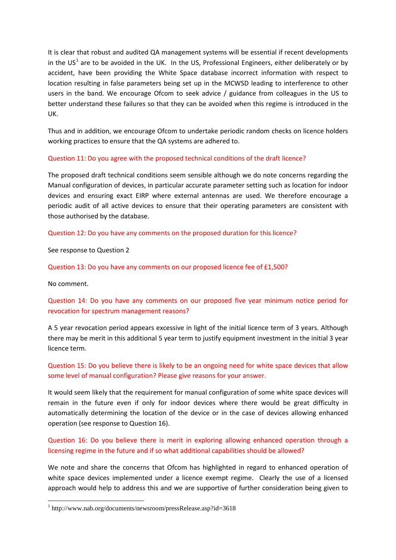It is clear that robust and audited QA management systems will be essential if recent developments in the  $US^1$  $US^1$  are to be avoided in the UK. In the US, Professional Engineers, either deliberately or by accident, have been providing the White Space database incorrect information with respect to location resulting in false parameters being set up in the MCWSD leading to interference to other users in the band. We encourage Ofcom to seek advice / guidance from colleagues in the US to better understand these failures so that they can be avoided when this regime is introduced in the UK.

Thus and in addition, we encourage Ofcom to undertake periodic random checks on licence holders working practices to ensure that the QA systems are adhered to.

#### Question 11: Do you agree with the proposed technical conditions of the draft licence?

The proposed draft technical conditions seem sensible although we do note concerns regarding the Manual configuration of devices, in particular accurate parameter setting such as location for indoor devices and ensuring exact EIRP where external antennas are used. We therefore encourage a periodic audit of all active devices to ensure that their operating parameters are consistent with those authorised by the database.

#### Question 12: Do you have any comments on the proposed duration for this licence?

See response to Question 2

Question 13: Do you have any comments on our proposed licence fee of £1,500?

No comment.

1

# Question 14: Do you have any comments on our proposed five year minimum notice period for revocation for spectrum management reasons?

A 5 year revocation period appears excessive in light of the initial licence term of 3 years. Although there may be merit in this additional 5 year term to justify equipment investment in the initial 3 year licence term.

# Question 15: Do you believe there is likely to be an ongoing need for white space devices that allow some level of manual configuration? Please give reasons for your answer.

It would seem likely that the requirement for manual configuration of some white space devices will remain in the future even if only for indoor devices where there would be great difficulty in automatically determining the location of the device or in the case of devices allowing enhanced operation (see response to Question 16).

### Question 16: Do you believe there is merit in exploring allowing enhanced operation through a licensing regime in the future and if so what additional capabilities should be allowed?

We note and share the concerns that Ofcom has highlighted in regard to enhanced operation of white space devices implemented under a licence exempt regime. Clearly the use of a licensed approach would help to address this and we are supportive of further consideration being given to

<span id="page-4-0"></span><sup>1</sup> http://www.nab.org/documents/newsroom/pressRelease.asp?id=3618